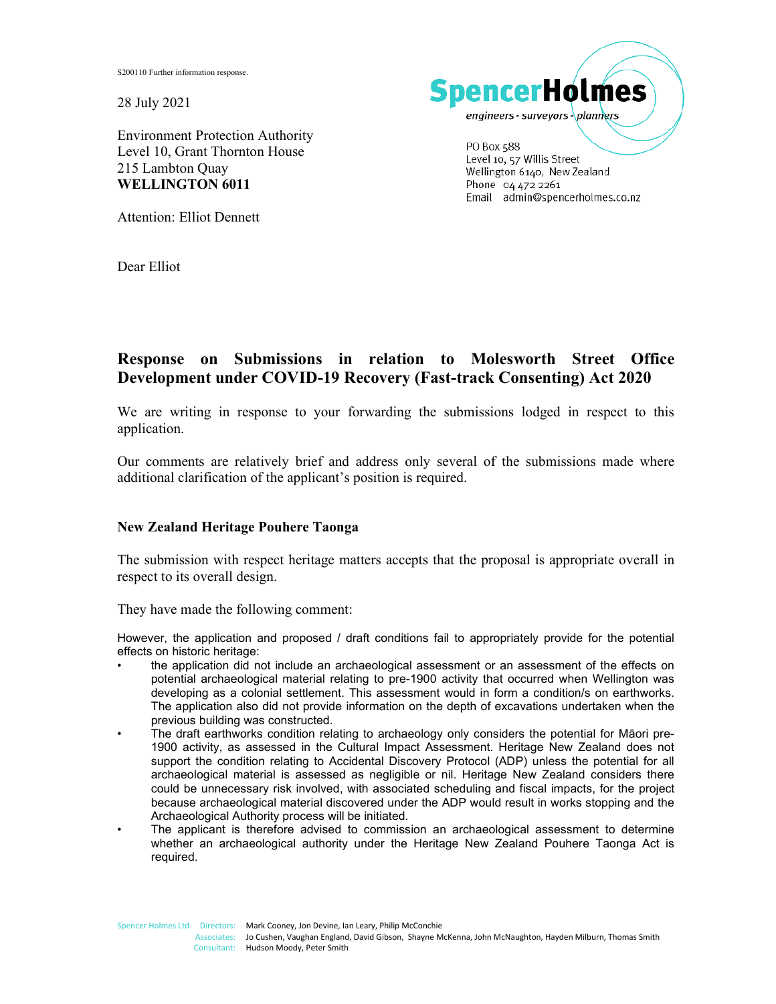S200110 Further information response.

28 July 2021

Environment Protection Authority Level 10, Grant Thornton House 215 Lambton Quay **WELLINGTON 6011** 

Attention: Elliot Dennett

Dear Elliot



Level 10, 57 Willis Street Wellington 6140, New Zealand Phone 04 472 2261 Email admin@spencerholmes.co.nz

# **Response on Submissions in relation to Molesworth Street Office Development under COVID-19 Recovery (Fast-track Consenting) Act 2020**

We are writing in response to your forwarding the submissions lodged in respect to this application.

Our comments are relatively brief and address only several of the submissions made where additional clarification of the applicant's position is required.

# **New Zealand Heritage Pouhere Taonga**

The submission with respect heritage matters accepts that the proposal is appropriate overall in respect to its overall design.

They have made the following comment:

However, the application and proposed / draft conditions fail to appropriately provide for the potential effects on historic heritage:

• the application did not include an archaeological assessment or an assessment of the effects on potential archaeological material relating to pre-1900 activity that occurred when Wellington was developing as a colonial settlement. This assessment would in form a condition/s on earthworks. The application also did not provide information on the depth of excavations undertaken when the previous building was constructed.

• The draft earthworks condition relating to archaeology only considers the potential for Māori pre-1900 activity, as assessed in the Cultural Impact Assessment. Heritage New Zealand does not support the condition relating to Accidental Discovery Protocol (ADP) unless the potential for all archaeological material is assessed as negligible or nil. Heritage New Zealand considers there could be unnecessary risk involved, with associated scheduling and fiscal impacts, for the project because archaeological material discovered under the ADP would result in works stopping and the Archaeological Authority process will be initiated.

• The applicant is therefore advised to commission an archaeological assessment to determine whether an archaeological authority under the Heritage New Zealand Pouhere Taonga Act is required.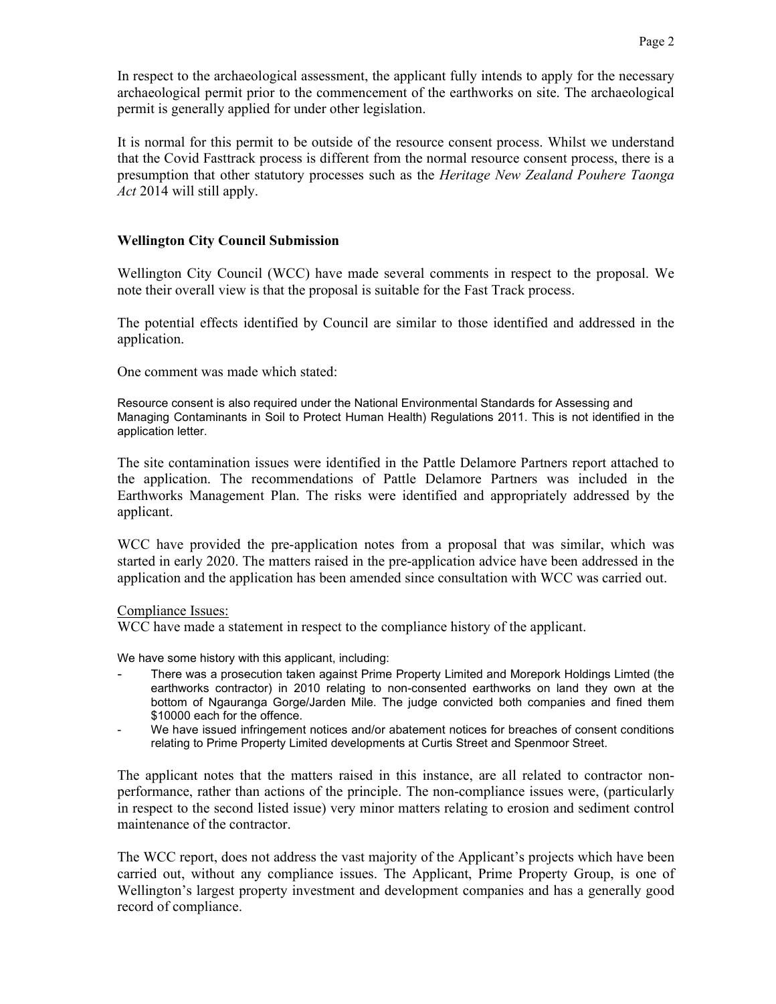In respect to the archaeological assessment, the applicant fully intends to apply for the necessary archaeological permit prior to the commencement of the earthworks on site. The archaeological permit is generally applied for under other legislation.

It is normal for this permit to be outside of the resource consent process. Whilst we understand that the Covid Fasttrack process is different from the normal resource consent process, there is a presumption that other statutory processes such as the *Heritage New Zealand Pouhere Taonga Act* 2014 will still apply.

## **Wellington City Council Submission**

Wellington City Council (WCC) have made several comments in respect to the proposal. We note their overall view is that the proposal is suitable for the Fast Track process.

The potential effects identified by Council are similar to those identified and addressed in the application.

One comment was made which stated:

Resource consent is also required under the National Environmental Standards for Assessing and Managing Contaminants in Soil to Protect Human Health) Regulations 2011. This is not identified in the application letter.

The site contamination issues were identified in the Pattle Delamore Partners report attached to the application. The recommendations of Pattle Delamore Partners was included in the Earthworks Management Plan. The risks were identified and appropriately addressed by the applicant.

WCC have provided the pre-application notes from a proposal that was similar, which was started in early 2020. The matters raised in the pre-application advice have been addressed in the application and the application has been amended since consultation with WCC was carried out.

#### Compliance Issues:

WCC have made a statement in respect to the compliance history of the applicant.

We have some history with this applicant, including:

- There was a prosecution taken against Prime Property Limited and Morepork Holdings Limted (the earthworks contractor) in 2010 relating to non-consented earthworks on land they own at the bottom of Ngauranga Gorge/Jarden Mile. The judge convicted both companies and fined them \$10000 each for the offence.
- We have issued infringement notices and/or abatement notices for breaches of consent conditions relating to Prime Property Limited developments at Curtis Street and Spenmoor Street.

The applicant notes that the matters raised in this instance, are all related to contractor nonperformance, rather than actions of the principle. The non-compliance issues were, (particularly in respect to the second listed issue) very minor matters relating to erosion and sediment control maintenance of the contractor.

The WCC report, does not address the vast majority of the Applicant's projects which have been carried out, without any compliance issues. The Applicant, Prime Property Group, is one of Wellington's largest property investment and development companies and has a generally good record of compliance.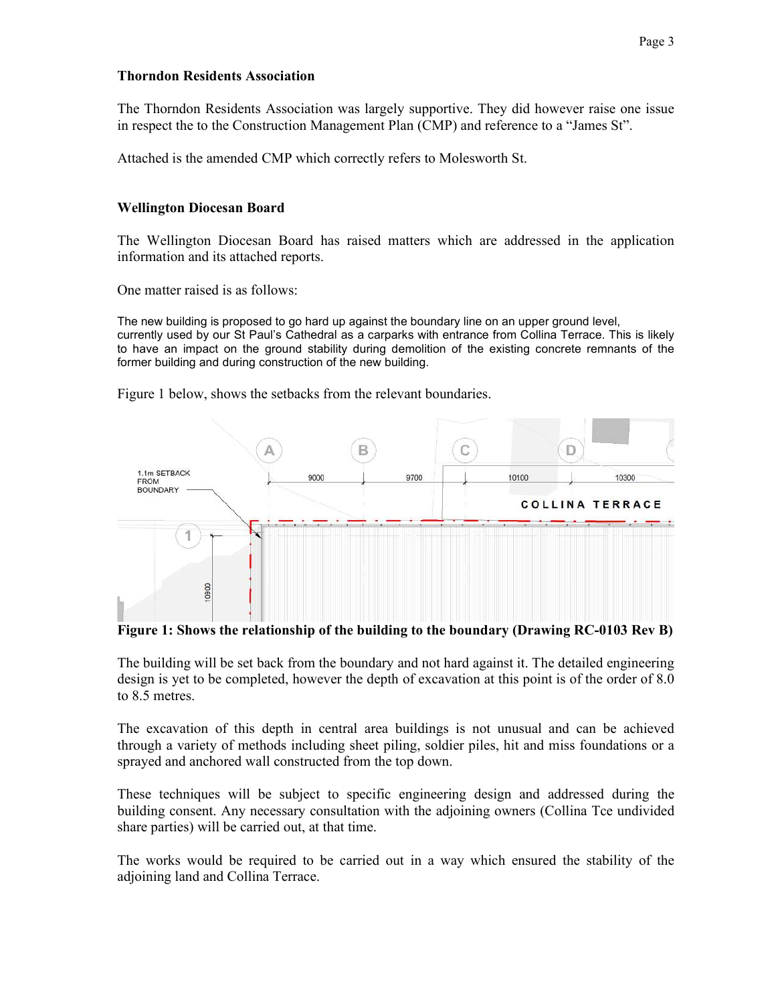## **Thorndon Residents Association**

The Thorndon Residents Association was largely supportive. They did however raise one issue in respect the to the Construction Management Plan (CMP) and reference to a "James St".

Attached is the amended CMP which correctly refers to Molesworth St.

# **Wellington Diocesan Board**

The Wellington Diocesan Board has raised matters which are addressed in the application information and its attached reports.

One matter raised is as follows:

The new building is proposed to go hard up against the boundary line on an upper ground level, currently used by our St Paul's Cathedral as a carparks with entrance from Collina Terrace. This is likely to have an impact on the ground stability during demolition of the existing concrete remnants of the former building and during construction of the new building.

Figure 1 below, shows the setbacks from the relevant boundaries.



**Figure 1: Shows the relationship of the building to the boundary (Drawing RC-0103 Rev B)** 

The building will be set back from the boundary and not hard against it. The detailed engineering design is yet to be completed, however the depth of excavation at this point is of the order of 8.0 to 8.5 metres.

The excavation of this depth in central area buildings is not unusual and can be achieved through a variety of methods including sheet piling, soldier piles, hit and miss foundations or a sprayed and anchored wall constructed from the top down.

These techniques will be subject to specific engineering design and addressed during the building consent. Any necessary consultation with the adjoining owners (Collina Tce undivided share parties) will be carried out, at that time.

The works would be required to be carried out in a way which ensured the stability of the adjoining land and Collina Terrace.